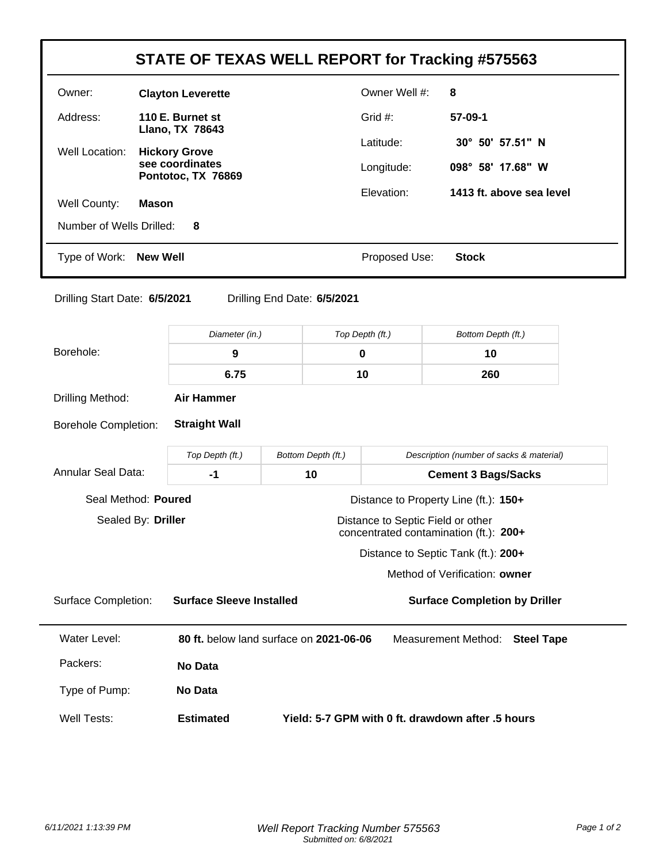|                                                              |                                         |                                         |                                   | <b>STATE OF TEXAS WELL REPORT for Tracking #575563</b>                        |  |
|--------------------------------------------------------------|-----------------------------------------|-----------------------------------------|-----------------------------------|-------------------------------------------------------------------------------|--|
| Owner:                                                       | <b>Clayton Leverette</b>                |                                         |                                   | 8                                                                             |  |
| Address:                                                     | 110 E. Burnet st                        |                                         | Grid #:                           | 57-09-1                                                                       |  |
| Well Location:                                               | Llano, TX 78643<br><b>Hickory Grove</b> |                                         | Latitude:                         | 30° 50' 57.51" N                                                              |  |
|                                                              | see coordinates<br>Pontotoc, TX 76869   |                                         | Longitude:                        | 098° 58' 17.68" W                                                             |  |
|                                                              | <b>Mason</b>                            |                                         | Elevation:                        | 1413 ft. above sea level                                                      |  |
| Well County:<br>Number of Wells Drilled:                     | 8                                       |                                         |                                   |                                                                               |  |
| Type of Work:                                                | <b>New Well</b>                         |                                         | Proposed Use:                     | <b>Stock</b>                                                                  |  |
| Drilling Start Date: 6/5/2021                                |                                         | Drilling End Date: 6/5/2021             |                                   |                                                                               |  |
|                                                              | Diameter (in.)                          |                                         | Top Depth (ft.)                   | Bottom Depth (ft.)                                                            |  |
| Borehole:                                                    | $\boldsymbol{9}$                        |                                         | 0                                 | 10                                                                            |  |
|                                                              | 6.75                                    |                                         | 10                                | 260                                                                           |  |
| Drilling Method:                                             | <b>Air Hammer</b>                       |                                         |                                   |                                                                               |  |
| <b>Borehole Completion:</b>                                  | <b>Straight Wall</b>                    |                                         |                                   |                                                                               |  |
|                                                              | Top Depth (ft.)                         | Bottom Depth (ft.)                      |                                   | Description (number of sacks & material)                                      |  |
| <b>Annular Seal Data:</b>                                    | $-1$                                    | 10                                      |                                   | <b>Cement 3 Bags/Sacks</b>                                                    |  |
| Seal Method: Poured<br>Distance to Property Line (ft.): 150+ |                                         |                                         |                                   |                                                                               |  |
|                                                              |                                         |                                         |                                   |                                                                               |  |
| Sealed By: Driller                                           |                                         |                                         | Distance to Septic Field or other |                                                                               |  |
|                                                              |                                         |                                         |                                   | concentrated contamination (ft.): 200+<br>Distance to Septic Tank (ft.): 200+ |  |
|                                                              |                                         |                                         |                                   | Method of Verification: owner                                                 |  |
| <b>Surface Completion:</b>                                   | <b>Surface Sleeve Installed</b>         |                                         |                                   | <b>Surface Completion by Driller</b>                                          |  |
| <b>Water Level:</b>                                          |                                         | 80 ft. below land surface on 2021-06-06 |                                   | Measurement Method:<br><b>Steel Tape</b>                                      |  |
| Packers:                                                     | No Data                                 |                                         |                                   |                                                                               |  |
| Type of Pump:                                                | No Data                                 |                                         |                                   |                                                                               |  |